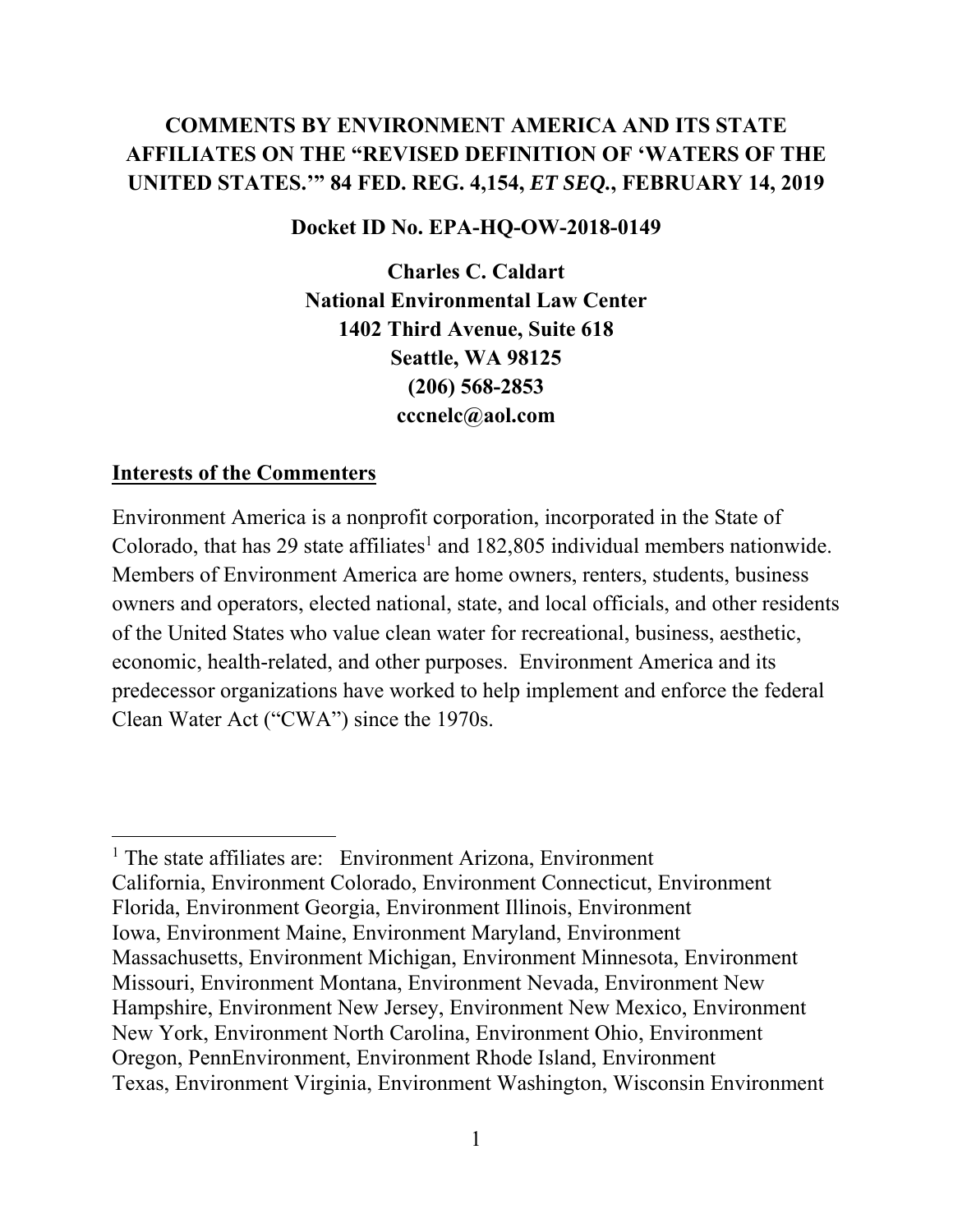# **COMMENTS BY ENVIRONMENT AMERICA AND ITS STATE AFFILIATES ON THE "REVISED DEFINITION OF 'WATERS OF THE UNITED STATES.'" 84 FED. REG. 4,154,** *ET SEQ.***, FEBRUARY 14, 2019**

### **Docket ID No. EPA-HQ-OW-2018-0149**

**Charles C. Caldart National Environmental Law Center 1402 Third Avenue, Suite 618 Seattle, WA 98125 (206) 568-2853 cccnelc@aol.com** 

#### **Interests of the Commenters**

Environment America is a nonprofit corporation, incorporated in the State of Colorado, that has 29 state affiliates<sup>1</sup> and  $182,805$  individual members nationwide. Members of Environment America are home owners, renters, students, business owners and operators, elected national, state, and local officials, and other residents of the United States who value clean water for recreational, business, aesthetic, economic, health-related, and other purposes. Environment America and its predecessor organizations have worked to help implement and enforce the federal Clean Water Act ("CWA") since the 1970s.

<sup>&</sup>lt;sup>1</sup> The state affiliates are: Environment Arizona, Environment California, Environment Colorado, Environment Connecticut, Environment Florida, Environment Georgia, Environment Illinois, Environment Iowa, Environment Maine, Environment Maryland, Environment Massachusetts, Environment Michigan, Environment Minnesota, Environment Missouri, Environment Montana, Environment Nevada, Environment New Hampshire, Environment New Jersey, Environment New Mexico, Environment New York, Environment North Carolina, Environment Ohio, Environment Oregon, PennEnvironment, Environment Rhode Island, Environment Texas, Environment Virginia, Environment Washington, Wisconsin Environment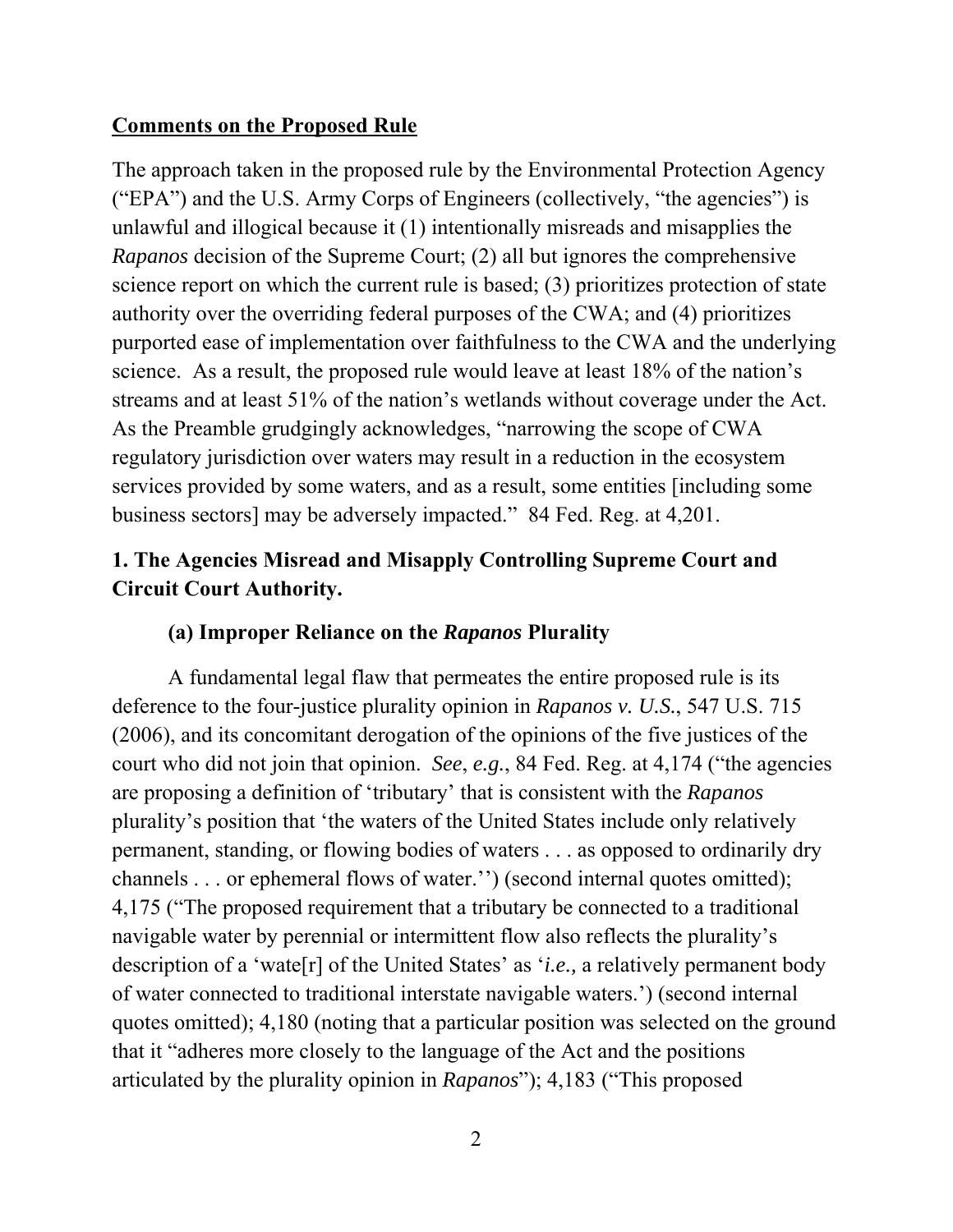## **Comments on the Proposed Rule**

The approach taken in the proposed rule by the Environmental Protection Agency ("EPA") and the U.S. Army Corps of Engineers (collectively, "the agencies") is unlawful and illogical because it (1) intentionally misreads and misapplies the *Rapanos* decision of the Supreme Court; (2) all but ignores the comprehensive science report on which the current rule is based; (3) prioritizes protection of state authority over the overriding federal purposes of the CWA; and (4) prioritizes purported ease of implementation over faithfulness to the CWA and the underlying science. As a result, the proposed rule would leave at least 18% of the nation's streams and at least 51% of the nation's wetlands without coverage under the Act. As the Preamble grudgingly acknowledges, "narrowing the scope of CWA regulatory jurisdiction over waters may result in a reduction in the ecosystem services provided by some waters, and as a result, some entities [including some business sectors] may be adversely impacted." 84 Fed. Reg. at 4,201.

# **1. The Agencies Misread and Misapply Controlling Supreme Court and Circuit Court Authority.**

### **(a) Improper Reliance on the** *Rapanos* **Plurality**

 A fundamental legal flaw that permeates the entire proposed rule is its deference to the four-justice plurality opinion in *Rapanos v. U.S.*, 547 U.S. 715 (2006), and its concomitant derogation of the opinions of the five justices of the court who did not join that opinion. *See*, *e.g.*, 84 Fed. Reg. at 4,174 ("the agencies are proposing a definition of 'tributary' that is consistent with the *Rapanos*  plurality's position that 'the waters of the United States include only relatively permanent, standing, or flowing bodies of waters . . . as opposed to ordinarily dry channels . . . or ephemeral flows of water.'') (second internal quotes omitted); 4,175 ("The proposed requirement that a tributary be connected to a traditional navigable water by perennial or intermittent flow also reflects the plurality's description of a 'wate[r] of the United States' as '*i.e.,* a relatively permanent body of water connected to traditional interstate navigable waters.') (second internal quotes omitted); 4,180 (noting that a particular position was selected on the ground that it "adheres more closely to the language of the Act and the positions articulated by the plurality opinion in *Rapanos*"); 4,183 ("This proposed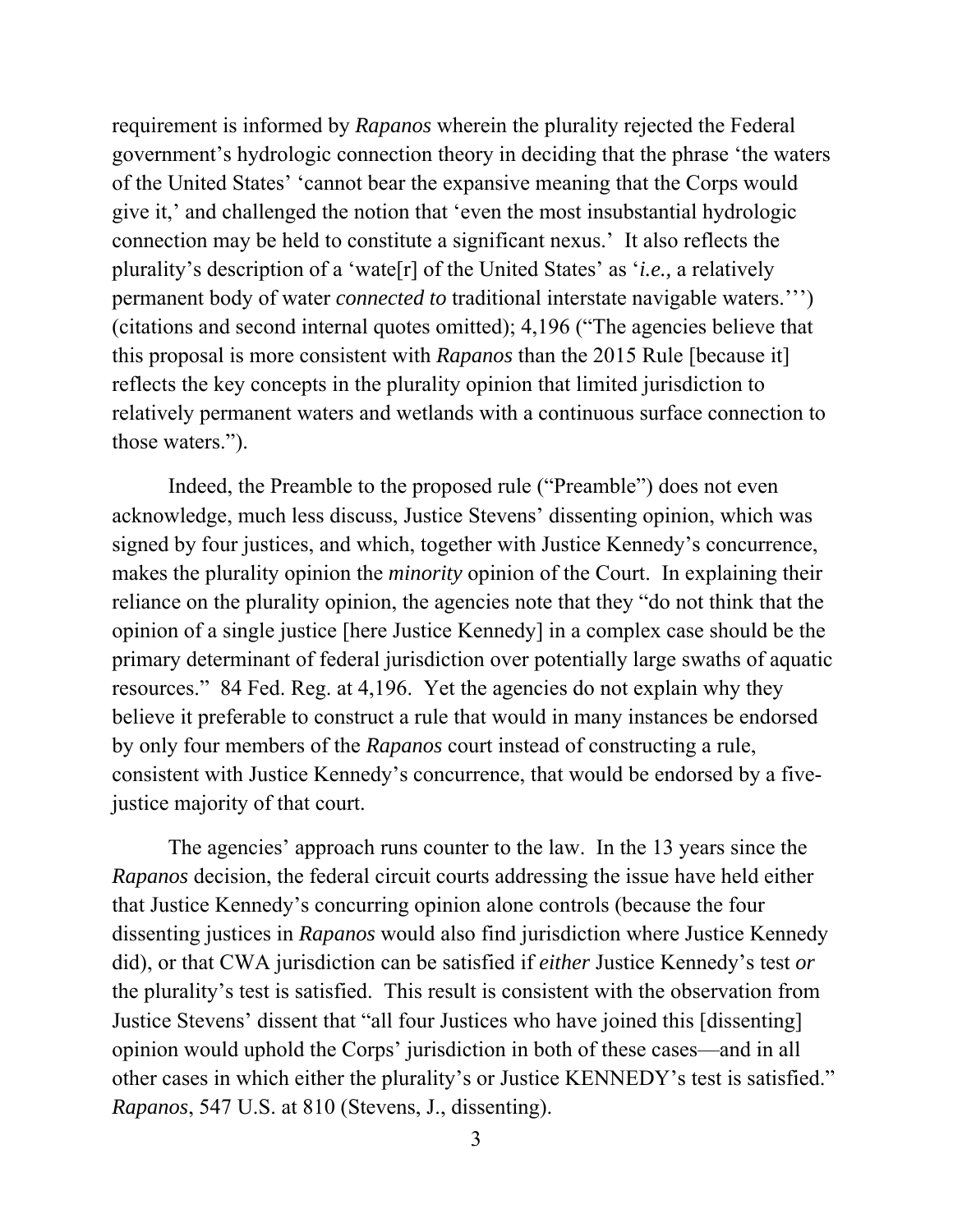requirement is informed by *Rapanos* wherein the plurality rejected the Federal government's hydrologic connection theory in deciding that the phrase 'the waters of the United States' 'cannot bear the expansive meaning that the Corps would give it,' and challenged the notion that 'even the most insubstantial hydrologic connection may be held to constitute a significant nexus.' It also reflects the plurality's description of a 'wate[r] of the United States' as '*i.e.,* a relatively permanent body of water *connected to* traditional interstate navigable waters.''') (citations and second internal quotes omitted); 4,196 ("The agencies believe that this proposal is more consistent with *Rapanos* than the 2015 Rule [because it] reflects the key concepts in the plurality opinion that limited jurisdiction to relatively permanent waters and wetlands with a continuous surface connection to those waters.").

 Indeed, the Preamble to the proposed rule ("Preamble") does not even acknowledge, much less discuss, Justice Stevens' dissenting opinion, which was signed by four justices, and which, together with Justice Kennedy's concurrence, makes the plurality opinion the *minority* opinion of the Court. In explaining their reliance on the plurality opinion, the agencies note that they "do not think that the opinion of a single justice [here Justice Kennedy] in a complex case should be the primary determinant of federal jurisdiction over potentially large swaths of aquatic resources." 84 Fed. Reg. at 4,196. Yet the agencies do not explain why they believe it preferable to construct a rule that would in many instances be endorsed by only four members of the *Rapanos* court instead of constructing a rule, consistent with Justice Kennedy's concurrence, that would be endorsed by a fivejustice majority of that court.

 The agencies' approach runs counter to the law. In the 13 years since the *Rapanos* decision, the federal circuit courts addressing the issue have held either that Justice Kennedy's concurring opinion alone controls (because the four dissenting justices in *Rapanos* would also find jurisdiction where Justice Kennedy did), or that CWA jurisdiction can be satisfied if *either* Justice Kennedy's test *or* the plurality's test is satisfied. This result is consistent with the observation from Justice Stevens' dissent that "all four Justices who have joined this [dissenting] opinion would uphold the Corps' jurisdiction in both of these cases—and in all other cases in which either the plurality's or Justice KENNEDY's test is satisfied." *Rapanos*, 547 U.S. at 810 (Stevens, J., dissenting).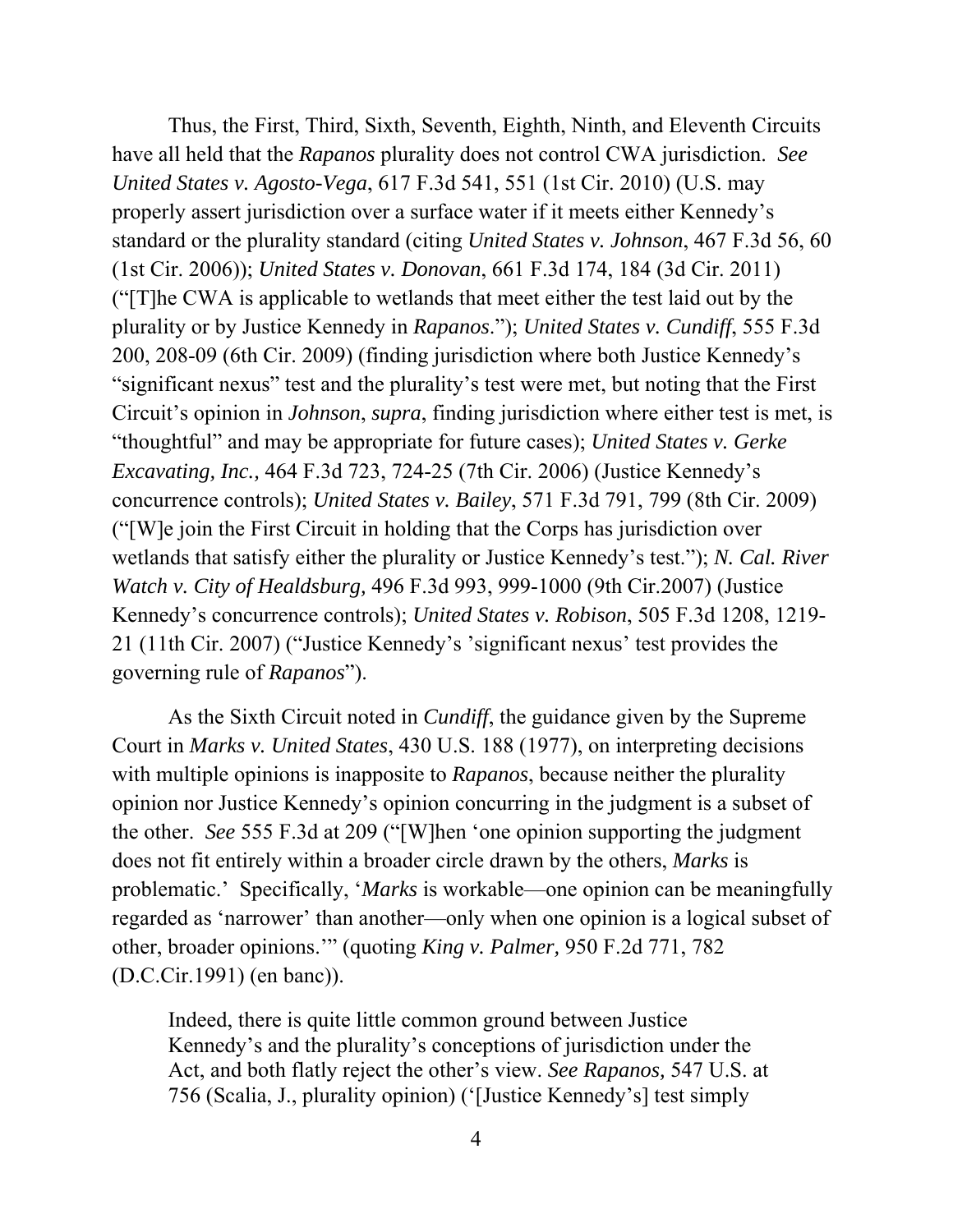Thus, the First, Third, Sixth, Seventh, Eighth, Ninth, and Eleventh Circuits have all held that the *Rapanos* plurality does not control CWA jurisdiction. *See United States v. Agosto-Vega*, 617 F.3d 541, 551 (1st Cir. 2010) (U.S. may properly assert jurisdiction over a surface water if it meets either Kennedy's standard or the plurality standard (citing *United States v. Johnson*, 467 F.3d 56, 60 (1st Cir. 2006)); *United States v. Donovan*, 661 F.3d 174, 184 (3d Cir. 2011) ("[T]he CWA is applicable to wetlands that meet either the test laid out by the plurality or by Justice Kennedy in *Rapanos*."); *United States v. Cundiff*, 555 F.3d 200, 208-09 (6th Cir. 2009) (finding jurisdiction where both Justice Kennedy's "significant nexus" test and the plurality's test were met, but noting that the First Circuit's opinion in *Johnson*, *supra*, finding jurisdiction where either test is met, is "thoughtful" and may be appropriate for future cases); *United States v. Gerke Excavating, Inc.,* 464 F.3d 723, 724-25 (7th Cir. 2006) (Justice Kennedy's concurrence controls); *United States v. Bailey*, 571 F.3d 791, 799 (8th Cir. 2009) ("[W]e join the First Circuit in holding that the Corps has jurisdiction over wetlands that satisfy either the plurality or Justice Kennedy's test."); *N. Cal. River Watch v. City of Healdsburg,* 496 F.3d 993, 999-1000 (9th Cir.2007) (Justice Kennedy's concurrence controls); *United States v. Robison*, 505 F.3d 1208, 1219- 21 (11th Cir. 2007) ("Justice Kennedy's 'significant nexus' test provides the governing rule of *Rapanos*").

 As the Sixth Circuit noted in *Cundiff*, the guidance given by the Supreme Court in *Marks v. United States*, 430 U.S. 188 (1977), on interpreting decisions with multiple opinions is inapposite to *Rapanos*, because neither the plurality opinion nor Justice Kennedy's opinion concurring in the judgment is a subset of the other. *See* 555 F.3d at 209 ("[W]hen 'one opinion supporting the judgment does not fit entirely within a broader circle drawn by the others, *Marks* is problematic.' Specifically, '*Marks* is workable—one opinion can be meaningfully regarded as 'narrower' than another—only when one opinion is a logical subset of other, broader opinions.'" (quoting *King v. Palmer,* 950 F.2d 771, 782 (D.C.Cir.1991) (en banc)).

Indeed, there is quite little common ground between Justice Kennedy's and the plurality's conceptions of jurisdiction under the Act, and both flatly reject the other's view. *See Rapanos,* 547 U.S. at 756 (Scalia, J., plurality opinion) ('[Justice Kennedy's] test simply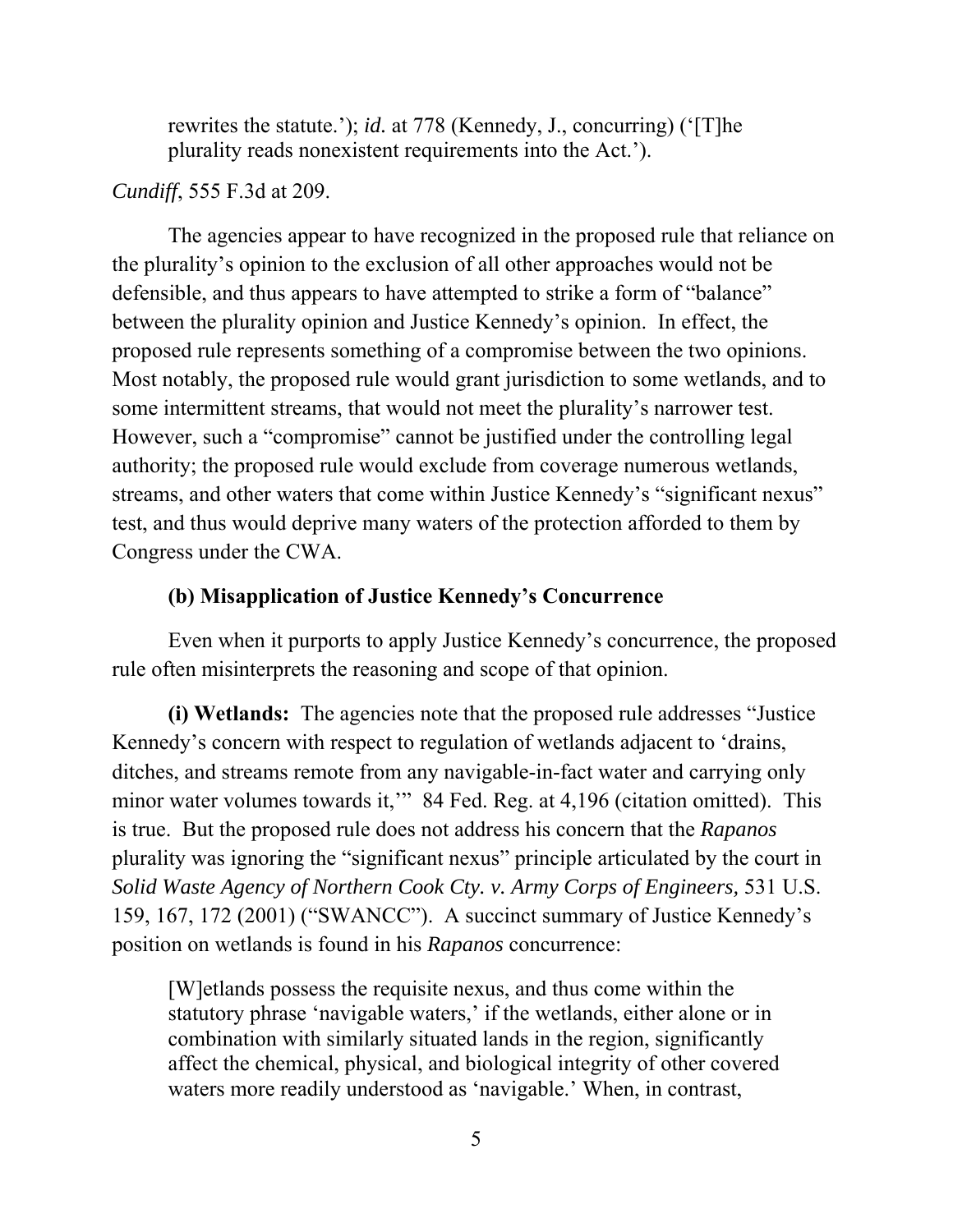rewrites the statute.'); *id.* at 778 (Kennedy, J., concurring) ('[T]he plurality reads nonexistent requirements into the Act.').

### *Cundiff*, 555 F.3d at 209.

The agencies appear to have recognized in the proposed rule that reliance on the plurality's opinion to the exclusion of all other approaches would not be defensible, and thus appears to have attempted to strike a form of "balance" between the plurality opinion and Justice Kennedy's opinion. In effect, the proposed rule represents something of a compromise between the two opinions. Most notably, the proposed rule would grant jurisdiction to some wetlands, and to some intermittent streams, that would not meet the plurality's narrower test. However, such a "compromise" cannot be justified under the controlling legal authority; the proposed rule would exclude from coverage numerous wetlands, streams, and other waters that come within Justice Kennedy's "significant nexus" test, and thus would deprive many waters of the protection afforded to them by Congress under the CWA.

### **(b) Misapplication of Justice Kennedy's Concurrence**

 Even when it purports to apply Justice Kennedy's concurrence, the proposed rule often misinterprets the reasoning and scope of that opinion.

**(i) Wetlands:** The agencies note that the proposed rule addresses "Justice Kennedy's concern with respect to regulation of wetlands adjacent to 'drains, ditches, and streams remote from any navigable-in-fact water and carrying only minor water volumes towards it," 84 Fed. Reg. at 4,196 (citation omitted). This is true. But the proposed rule does not address his concern that the *Rapanos*  plurality was ignoring the "significant nexus" principle articulated by the court in *Solid Waste Agency of Northern Cook Cty. v. Army Corps of Engineers,* 531 U.S. 159, 167, 172 (2001) ("SWANCC"). A succinct summary of Justice Kennedy's position on wetlands is found in his *Rapanos* concurrence:

[W]etlands possess the requisite nexus, and thus come within the statutory phrase 'navigable waters,' if the wetlands, either alone or in combination with similarly situated lands in the region, significantly affect the chemical, physical, and biological integrity of other covered waters more readily understood as 'navigable.' When, in contrast,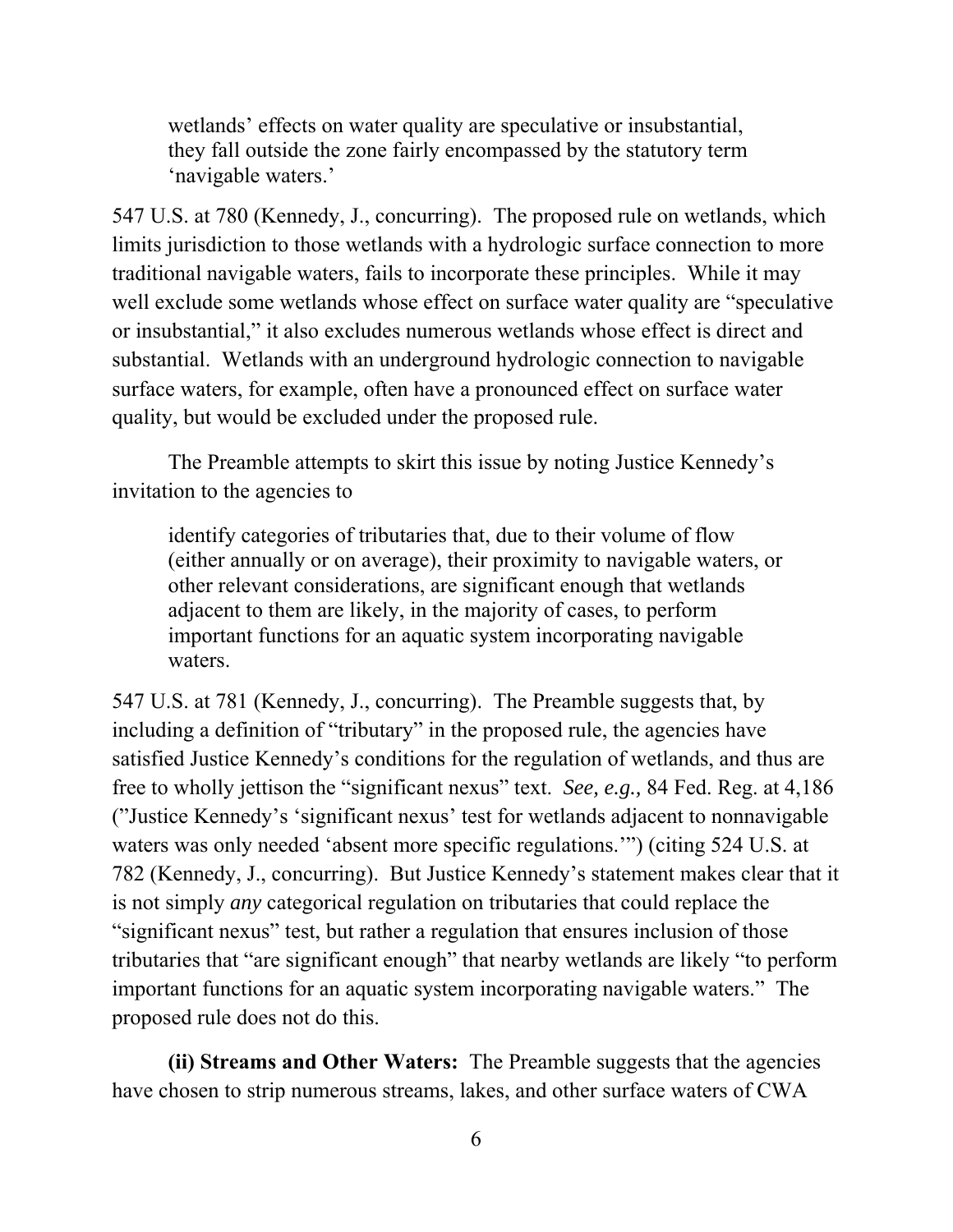wetlands' effects on water quality are speculative or insubstantial, they fall outside the zone fairly encompassed by the statutory term 'navigable waters.'

547 U.S. at 780 (Kennedy, J., concurring). The proposed rule on wetlands, which limits jurisdiction to those wetlands with a hydrologic surface connection to more traditional navigable waters, fails to incorporate these principles. While it may well exclude some wetlands whose effect on surface water quality are "speculative or insubstantial," it also excludes numerous wetlands whose effect is direct and substantial. Wetlands with an underground hydrologic connection to navigable surface waters, for example, often have a pronounced effect on surface water quality, but would be excluded under the proposed rule.

 The Preamble attempts to skirt this issue by noting Justice Kennedy's invitation to the agencies to

identify categories of tributaries that, due to their volume of flow (either annually or on average), their proximity to navigable waters, or other relevant considerations, are significant enough that wetlands adjacent to them are likely, in the majority of cases, to perform important functions for an aquatic system incorporating navigable waters.

547 U.S. at 781 (Kennedy, J., concurring). The Preamble suggests that, by including a definition of "tributary" in the proposed rule, the agencies have satisfied Justice Kennedy's conditions for the regulation of wetlands, and thus are free to wholly jettison the "significant nexus" text. *See, e.g.,* 84 Fed. Reg. at 4,186 ("Justice Kennedy's 'significant nexus' test for wetlands adjacent to nonnavigable waters was only needed 'absent more specific regulations.'") (citing 524 U.S. at 782 (Kennedy, J., concurring). But Justice Kennedy's statement makes clear that it is not simply *any* categorical regulation on tributaries that could replace the "significant nexus" test, but rather a regulation that ensures inclusion of those tributaries that "are significant enough" that nearby wetlands are likely "to perform important functions for an aquatic system incorporating navigable waters." The proposed rule does not do this.

**(ii) Streams and Other Waters:** The Preamble suggests that the agencies have chosen to strip numerous streams, lakes, and other surface waters of CWA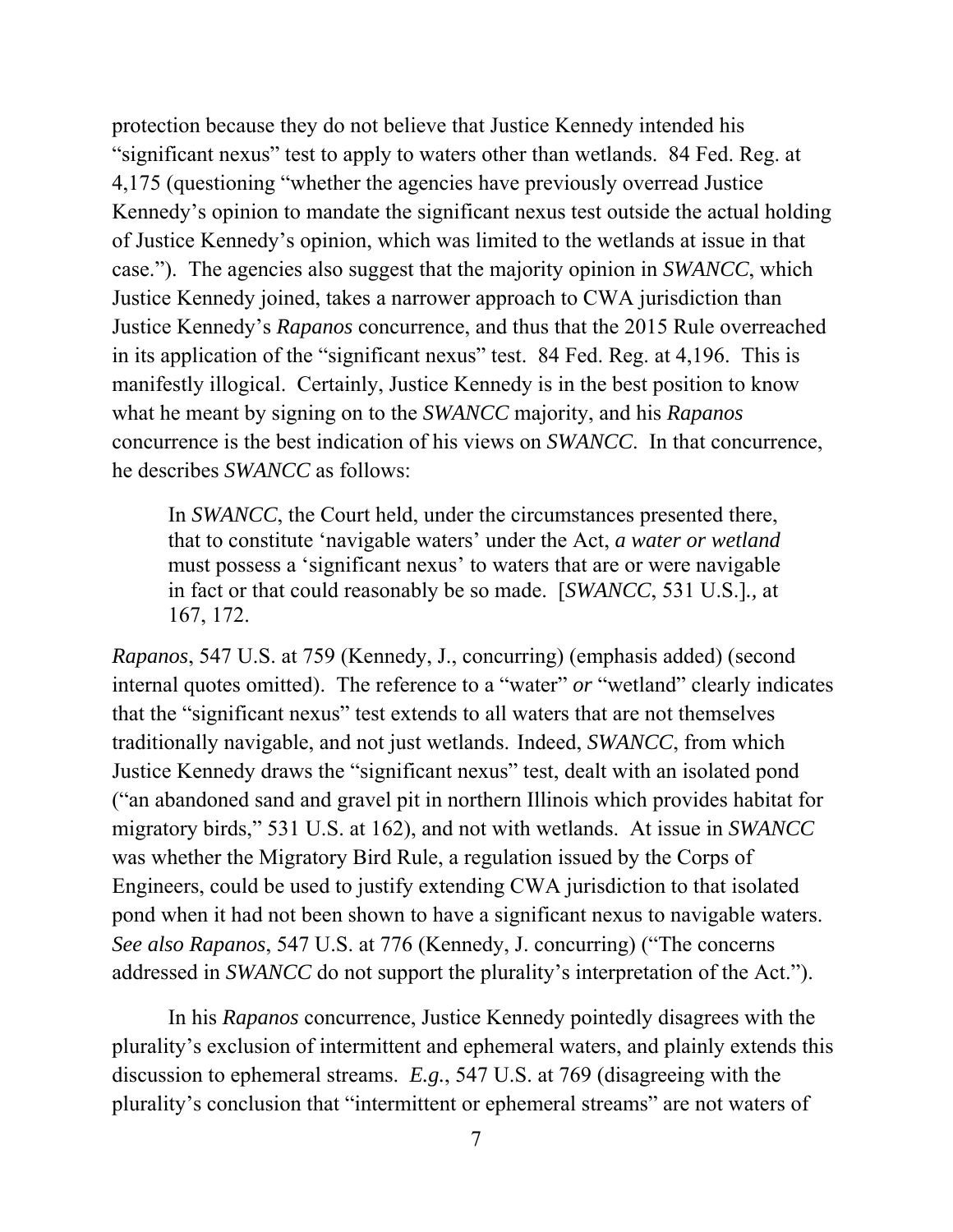protection because they do not believe that Justice Kennedy intended his "significant nexus" test to apply to waters other than wetlands. 84 Fed. Reg. at 4,175 (questioning "whether the agencies have previously overread Justice Kennedy's opinion to mandate the significant nexus test outside the actual holding of Justice Kennedy's opinion, which was limited to the wetlands at issue in that case."). The agencies also suggest that the majority opinion in *SWANCC*, which Justice Kennedy joined, takes a narrower approach to CWA jurisdiction than Justice Kennedy's *Rapanos* concurrence, and thus that the 2015 Rule overreached in its application of the "significant nexus" test. 84 Fed. Reg. at 4,196. This is manifestly illogical. Certainly, Justice Kennedy is in the best position to know what he meant by signing on to the *SWANCC* majority, and his *Rapanos* concurrence is the best indication of his views on *SWANCC*. In that concurrence, he describes *SWANCC* as follows:

In *SWANCC*, the Court held, under the circumstances presented there, that to constitute 'navigable waters' under the Act, *a water or wetland*  must possess a 'significant nexus' to waters that are or were navigable in fact or that could reasonably be so made. [*SWANCC*, 531 U.S.]*.,* at 167, 172.

*Rapanos*, 547 U.S. at 759 (Kennedy, J., concurring) (emphasis added) (second internal quotes omitted). The reference to a "water" *or* "wetland" clearly indicates that the "significant nexus" test extends to all waters that are not themselves traditionally navigable, and not just wetlands.Indeed, *SWANCC*, from which Justice Kennedy draws the "significant nexus" test, dealt with an isolated pond ("an abandoned sand and gravel pit in northern Illinois which provides habitat for migratory birds," 531 U.S. at 162), and not with wetlands. At issue in *SWANCC*  was whether the Migratory Bird Rule, a regulation issued by the Corps of Engineers, could be used to justify extending CWA jurisdiction to that isolated pond when it had not been shown to have a significant nexus to navigable waters. *See also Rapanos*, 547 U.S. at 776 (Kennedy, J. concurring) ("The concerns addressed in *SWANCC* do not support the plurality's interpretation of the Act.").

 In his *Rapanos* concurrence, Justice Kennedy pointedly disagrees with the plurality's exclusion of intermittent and ephemeral waters, and plainly extends this discussion to ephemeral streams. *E.g.*, 547 U.S. at 769 (disagreeing with the plurality's conclusion that "intermittent or ephemeral streams" are not waters of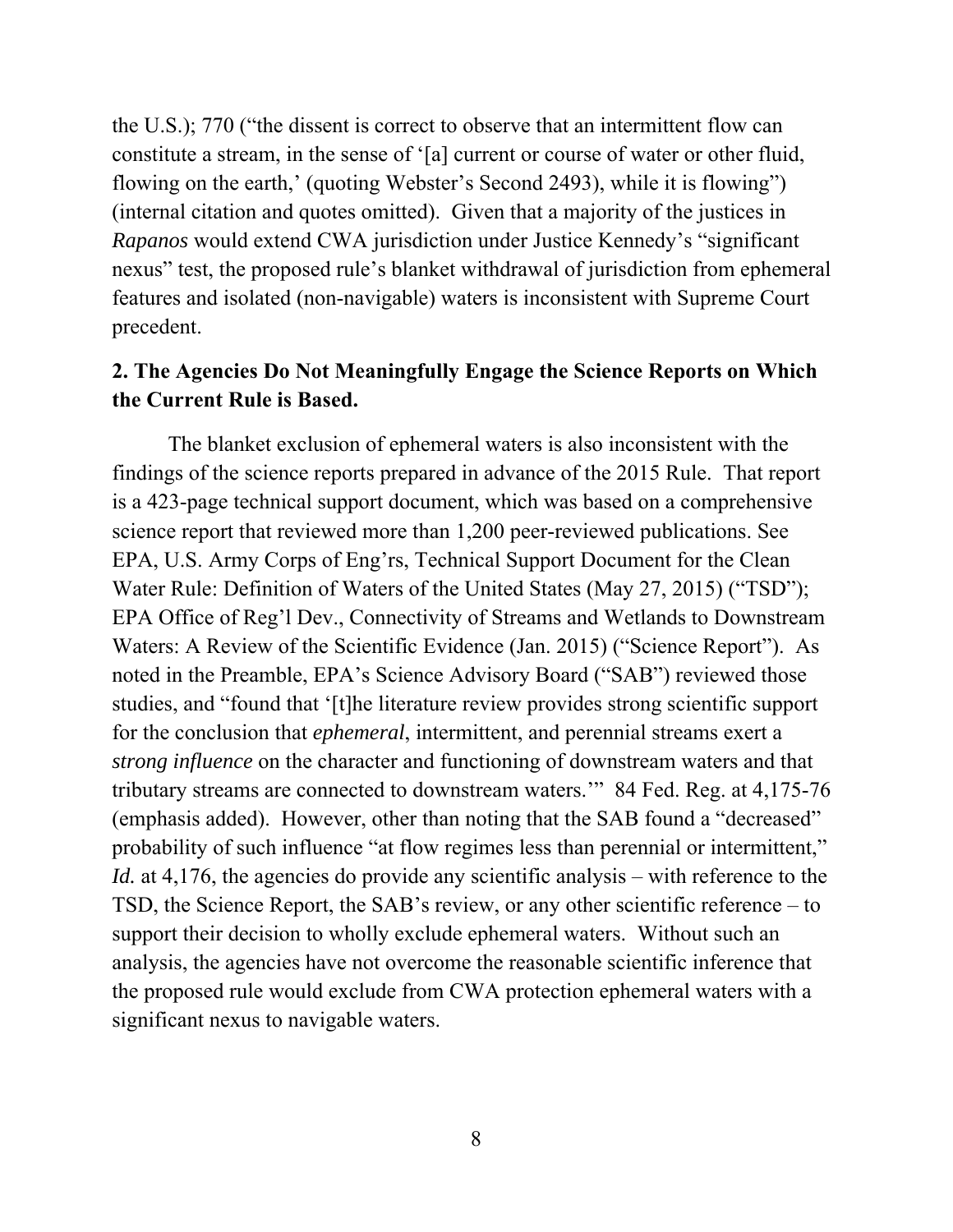the U.S.); 770 ("the dissent is correct to observe that an intermittent flow can constitute a stream, in the sense of '[a] current or course of water or other fluid, flowing on the earth,' (quoting Webster's Second 2493), while it is flowing") (internal citation and quotes omitted). Given that a majority of the justices in *Rapanos* would extend CWA jurisdiction under Justice Kennedy's "significant nexus" test, the proposed rule's blanket withdrawal of jurisdiction from ephemeral features and isolated (non-navigable) waters is inconsistent with Supreme Court precedent.

# **2. The Agencies Do Not Meaningfully Engage the Science Reports on Which the Current Rule is Based.**

 The blanket exclusion of ephemeral waters is also inconsistent with the findings of the science reports prepared in advance of the 2015 Rule. That report is a 423-page technical support document, which was based on a comprehensive science report that reviewed more than 1,200 peer-reviewed publications. See EPA, U.S. Army Corps of Eng'rs, Technical Support Document for the Clean Water Rule: Definition of Waters of the United States (May 27, 2015) ("TSD"); EPA Office of Reg'l Dev., Connectivity of Streams and Wetlands to Downstream Waters: A Review of the Scientific Evidence (Jan. 2015) ("Science Report"). As noted in the Preamble, EPA's Science Advisory Board ("SAB") reviewed those studies, and "found that '[t]he literature review provides strong scientific support for the conclusion that *ephemeral*, intermittent, and perennial streams exert a *strong influence* on the character and functioning of downstream waters and that tributary streams are connected to downstream waters.'" 84 Fed. Reg. at 4,175-76 (emphasis added). However, other than noting that the SAB found a "decreased" probability of such influence "at flow regimes less than perennial or intermittent," *Id.* at 4,176, the agencies do provide any scientific analysis – with reference to the TSD, the Science Report, the SAB's review, or any other scientific reference – to support their decision to wholly exclude ephemeral waters. Without such an analysis, the agencies have not overcome the reasonable scientific inference that the proposed rule would exclude from CWA protection ephemeral waters with a significant nexus to navigable waters.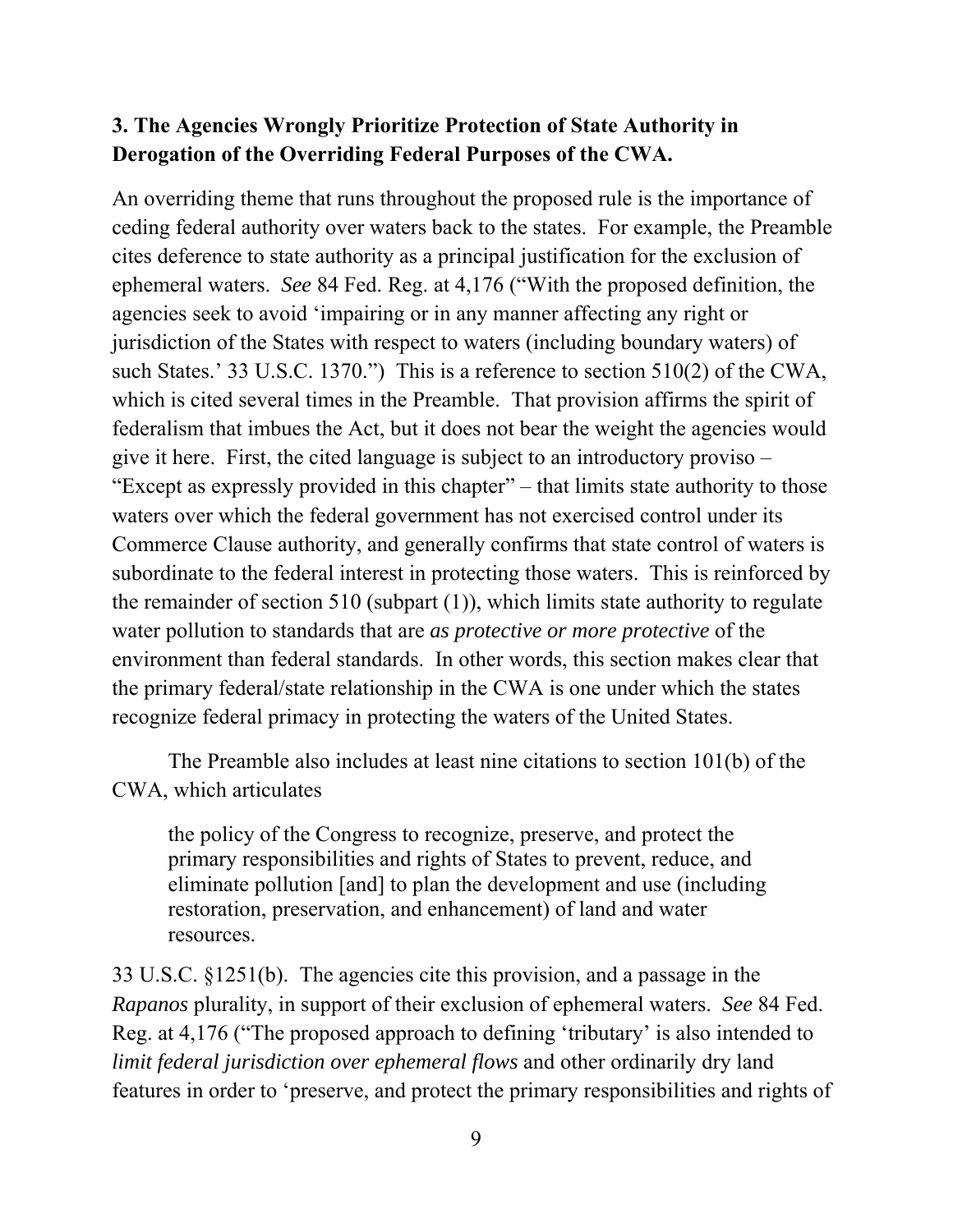## **3. The Agencies Wrongly Prioritize Protection of State Authority in Derogation of the Overriding Federal Purposes of the CWA.**

An overriding theme that runs throughout the proposed rule is the importance of ceding federal authority over waters back to the states. For example, the Preamble cites deference to state authority as a principal justification for the exclusion of ephemeral waters. *See* 84 Fed. Reg. at 4,176 ("With the proposed definition, the agencies seek to avoid 'impairing or in any manner affecting any right or jurisdiction of the States with respect to waters (including boundary waters) of such States.' 33 U.S.C. 1370.") This is a reference to section 510(2) of the CWA, which is cited several times in the Preamble. That provision affirms the spirit of federalism that imbues the Act, but it does not bear the weight the agencies would give it here. First, the cited language is subject to an introductory proviso – "Except as expressly provided in this chapter" – that limits state authority to those waters over which the federal government has not exercised control under its Commerce Clause authority, and generally confirms that state control of waters is subordinate to the federal interest in protecting those waters. This is reinforced by the remainder of section 510 (subpart (1)), which limits state authority to regulate water pollution to standards that are *as protective or more protective* of the environment than federal standards. In other words, this section makes clear that the primary federal/state relationship in the CWA is one under which the states recognize federal primacy in protecting the waters of the United States.

 The Preamble also includes at least nine citations to section 101(b) of the CWA, which articulates

the policy of the Congress to recognize, preserve, and protect the primary responsibilities and rights of States to prevent, reduce, and eliminate pollution [and] to plan the development and use (including restoration, preservation, and enhancement) of land and water resources.

33 U.S.C. §1251(b). The agencies cite this provision, and a passage in the *Rapanos* plurality, in support of their exclusion of ephemeral waters. *See* 84 Fed. Reg. at 4,176 ("The proposed approach to defining 'tributary' is also intended to *limit federal jurisdiction over ephemeral flows* and other ordinarily dry land features in order to 'preserve, and protect the primary responsibilities and rights of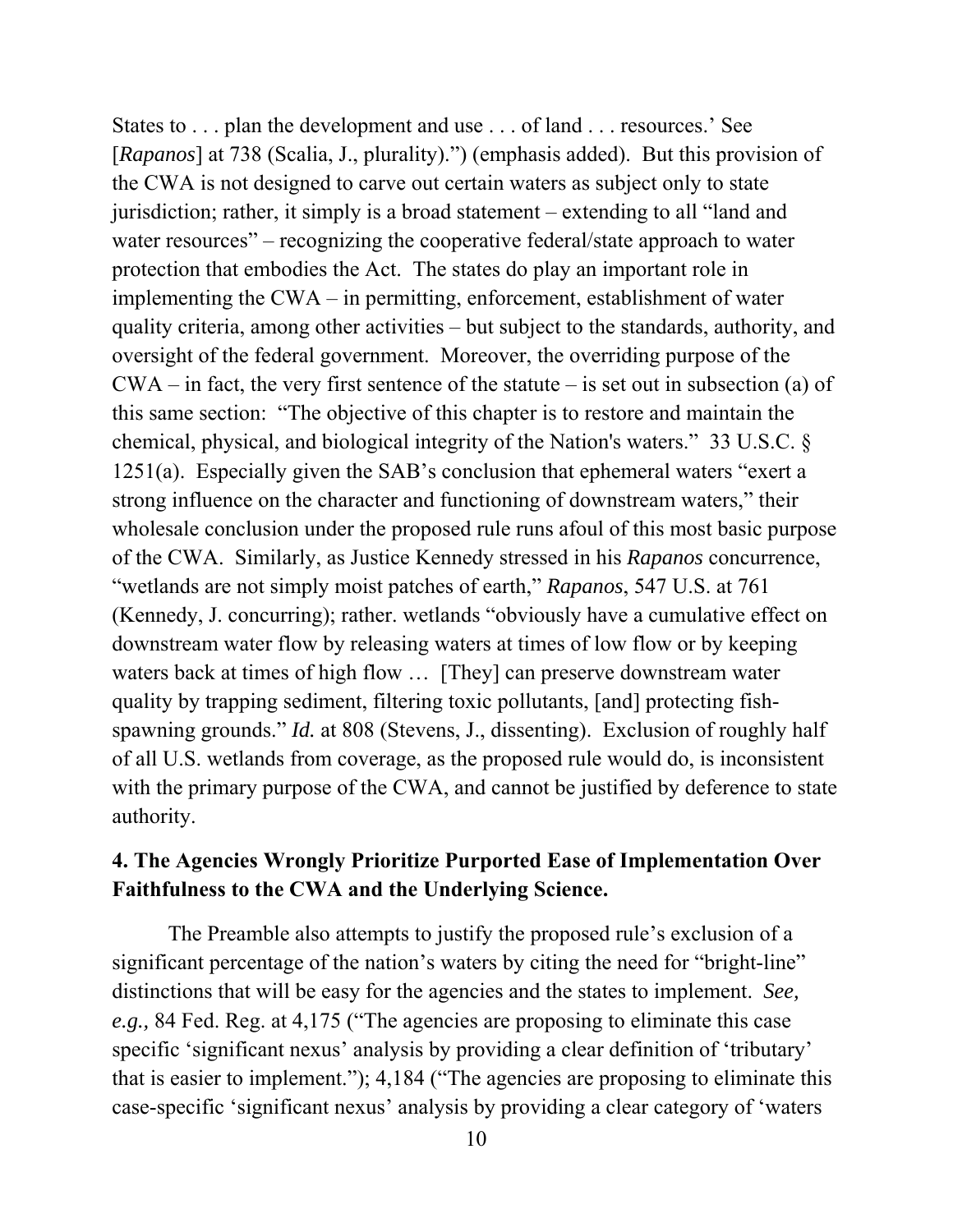States to . . . plan the development and use . . . of land . . . resources.' See [*Rapanos*] at 738 (Scalia, J., plurality).") (emphasis added). But this provision of the CWA is not designed to carve out certain waters as subject only to state jurisdiction; rather, it simply is a broad statement – extending to all "land and water resources" – recognizing the cooperative federal/state approach to water protection that embodies the Act. The states do play an important role in implementing the CWA – in permitting, enforcement, establishment of water quality criteria, among other activities – but subject to the standards, authority, and oversight of the federal government. Moreover, the overriding purpose of the  $CWA - in fact, the very first sentence of the statue - is set out in subsection (a) of$ this same section: "The objective of this chapter is to restore and maintain the chemical, physical, and biological integrity of the Nation's waters." 33 U.S.C. § 1251(a). Especially given the SAB's conclusion that ephemeral waters "exert a strong influence on the character and functioning of downstream waters," their wholesale conclusion under the proposed rule runs afoul of this most basic purpose of the CWA. Similarly, as Justice Kennedy stressed in his *Rapanos* concurrence, "wetlands are not simply moist patches of earth," *Rapanos*, 547 U.S. at 761 (Kennedy, J. concurring); rather. wetlands "obviously have a cumulative effect on downstream water flow by releasing waters at times of low flow or by keeping waters back at times of high flow … [They] can preserve downstream water quality by trapping sediment, filtering toxic pollutants, [and] protecting fishspawning grounds." *Id.* at 808 (Stevens, J., dissenting). Exclusion of roughly half of all U.S. wetlands from coverage, as the proposed rule would do, is inconsistent with the primary purpose of the CWA, and cannot be justified by deference to state authority.

## **4. The Agencies Wrongly Prioritize Purported Ease of Implementation Over Faithfulness to the CWA and the Underlying Science.**

 The Preamble also attempts to justify the proposed rule's exclusion of a significant percentage of the nation's waters by citing the need for "bright-line" distinctions that will be easy for the agencies and the states to implement. *See, e.g.,* 84 Fed. Reg. at 4,175 ("The agencies are proposing to eliminate this case specific 'significant nexus' analysis by providing a clear definition of 'tributary' that is easier to implement."); 4,184 ("The agencies are proposing to eliminate this case-specific 'significant nexus' analysis by providing a clear category of 'waters